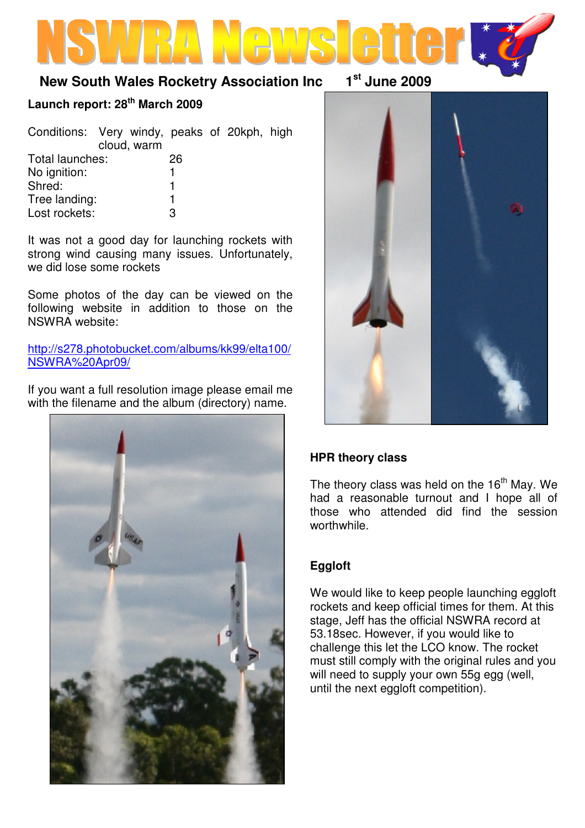# **New South Wales Rocketry Association Inc 1st June 2009**

# **Launch report: 28th March 2009**

| cloud, warm     | Conditions: Very windy, peaks of 20kph, high |
|-----------------|----------------------------------------------|
| Total launches: | 26                                           |
| No ignition:    |                                              |
| Shred:          |                                              |
| Tree landing:   |                                              |
| Lost rockets:   | З                                            |

It was not a good day for launching rockets with strong wind causing many issues. Unfortunately, we did lose some rockets

Some photos of the day can be viewed on the following website in addition to those on the NSWRA website:

http://s278.photobucket.com/albums/kk99/elta100/ NSWRA%20Apr09/

If you want a full resolution image please email me with the filename and the album (directory) name.



### **HPR theory class**

The theory class was held on the  $16<sup>th</sup>$  May. We had a reasonable turnout and I hope all of those who attended did find the session worthwhile.

## **Eggloft**

We would like to keep people launching eggloft rockets and keep official times for them. At this stage, Jeff has the official NSWRA record at 53.18sec. However, if you would like to challenge this let the LCO know. The rocket must still comply with the original rules and you will need to supply your own 55g egg (well, until the next eggloft competition).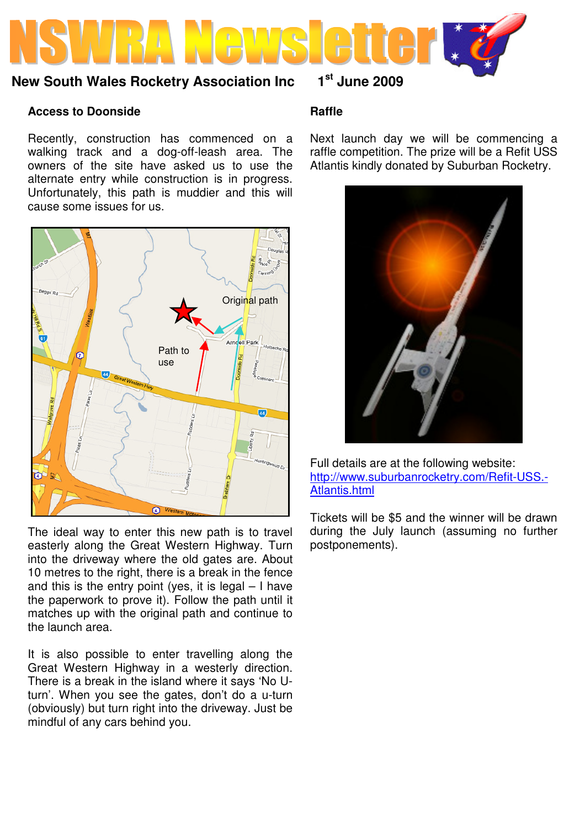

# **New South Wales Rocketry Association Inc 1st June 2009**

#### **Access to Doonside**

Recently, construction has commenced on a walking track and a dog-off-leash area. The owners of the site have asked us to use the alternate entry while construction is in progress. Unfortunately, this path is muddier and this will cause some issues for us.



The ideal way to enter this new path is to travel easterly along the Great Western Highway. Turn into the driveway where the old gates are. About 10 metres to the right, there is a break in the fence and this is the entry point (yes, it is legal  $-1$  have the paperwork to prove it). Follow the path until it matches up with the original path and continue to the launch area.

It is also possible to enter travelling along the Great Western Highway in a westerly direction. There is a break in the island where it says 'No Uturn'. When you see the gates, don't do a u-turn (obviously) but turn right into the driveway. Just be mindful of any cars behind you.

#### **Raffle**

Next launch day we will be commencing a raffle competition. The prize will be a Refit USS Atlantis kindly donated by Suburban Rocketry.



Full details are at the following website: http://www.suburbanrocketry.com/Refit-USS.- Atlantis.html

Tickets will be \$5 and the winner will be drawn during the July launch (assuming no further postponements).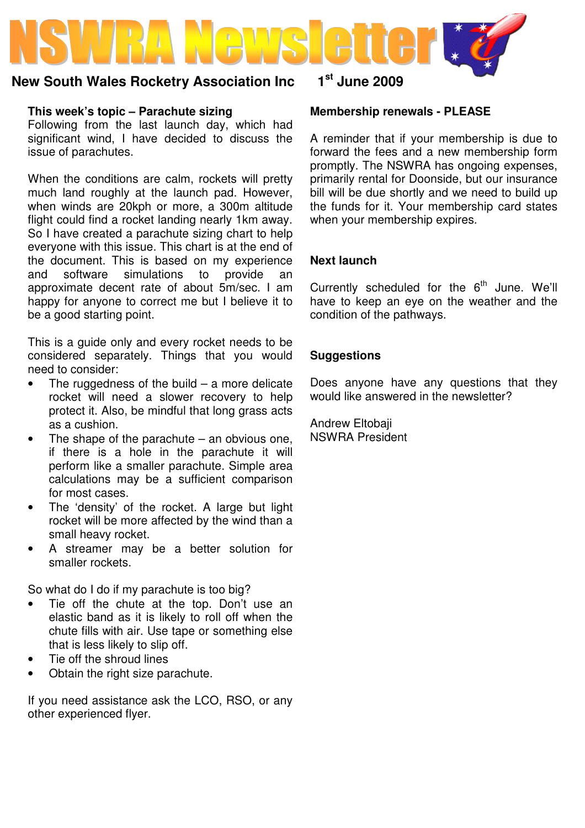# **New South Wales Rocketry Association Inc 1st June 2009**

## **This week's topic – Parachute sizing**

Following from the last launch day, which had significant wind, I have decided to discuss the issue of parachutes.

When the conditions are calm, rockets will pretty much land roughly at the launch pad. However, when winds are 20kph or more, a 300m altitude flight could find a rocket landing nearly 1km away. So I have created a parachute sizing chart to help everyone with this issue. This chart is at the end of the document. This is based on my experience and software simulations to provide an approximate decent rate of about 5m/sec. I am happy for anyone to correct me but I believe it to be a good starting point.

This is a guide only and every rocket needs to be considered separately. Things that you would need to consider:

- The ruggedness of the build a more delicate rocket will need a slower recovery to help protect it. Also, be mindful that long grass acts as a cushion.
- The shape of the parachute  $-$  an obvious one, if there is a hole in the parachute it will perform like a smaller parachute. Simple area calculations may be a sufficient comparison for most cases.
- The 'density' of the rocket. A large but light rocket will be more affected by the wind than a small heavy rocket.
- A streamer may be a better solution for smaller rockets.

So what do I do if my parachute is too big?

- Tie off the chute at the top. Don't use an elastic band as it is likely to roll off when the chute fills with air. Use tape or something else that is less likely to slip off.
- Tie off the shroud lines
- Obtain the right size parachute.

If you need assistance ask the LCO, RSO, or any other experienced flyer.

## **Membership renewals - PLEASE**

A reminder that if your membership is due to forward the fees and a new membership form promptly. The NSWRA has ongoing expenses, primarily rental for Doonside, but our insurance bill will be due shortly and we need to build up the funds for it. Your membership card states when your membership expires.

# **Next launch**

Currently scheduled for the  $6<sup>th</sup>$  June. We'll have to keep an eye on the weather and the condition of the pathways.

### **Suggestions**

Does anyone have any questions that they would like answered in the newsletter?

Andrew Eltobaji NSWRA President